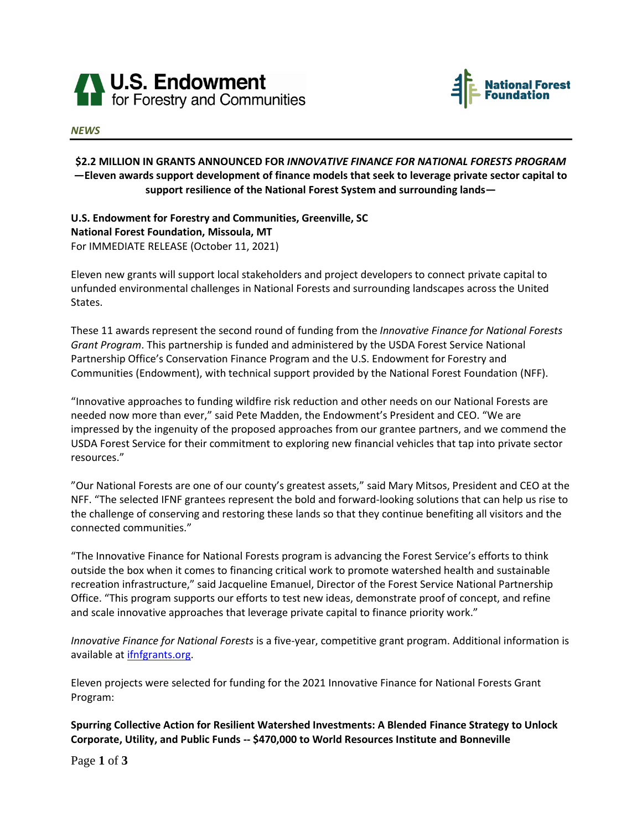



## *NEWS*

## **\$2.2 MILLION IN GRANTS ANNOUNCED FOR** *INNOVATIVE FINANCE FOR NATIONAL FORESTS PROGRAM* **—Eleven awards support development of finance models that seek to leverage private sector capital to support resilience of the National Forest System and surrounding lands—**

**U.S. Endowment for Forestry and Communities, Greenville, SC National Forest Foundation, Missoula, MT** For IMMEDIATE RELEASE (October 11, 2021)

Eleven new grants will support local stakeholders and project developers to connect private capital to unfunded environmental challenges in National Forests and surrounding landscapes across the United States.

These 11 awards represent the second round of funding from the *Innovative Finance for National Forests Grant Program*. This partnership is funded and administered by the USDA Forest Service National Partnership Office's Conservation Finance Program and the U.S. Endowment for Forestry and Communities (Endowment), with technical support provided by the National Forest Foundation (NFF).

"Innovative approaches to funding wildfire risk reduction and other needs on our National Forests are needed now more than ever," said Pete Madden, the Endowment's President and CEO. "We are impressed by the ingenuity of the proposed approaches from our grantee partners, and we commend the USDA Forest Service for their commitment to exploring new financial vehicles that tap into private sector resources."

"Our National Forests are one of our county's greatest assets," said Mary Mitsos, President and CEO at the NFF. "The selected IFNF grantees represent the bold and forward-looking solutions that can help us rise to the challenge of conserving and restoring these lands so that they continue benefiting all visitors and the connected communities."

"The Innovative Finance for National Forests program is advancing the Forest Service's efforts to think outside the box when it comes to financing critical work to promote watershed health and sustainable recreation infrastructure," said Jacqueline Emanuel, Director of the Forest Service National Partnership Office. "This program supports our efforts to test new ideas, demonstrate proof of concept, and refine and scale innovative approaches that leverage private capital to finance priority work."

*Innovative Finance for National Forests* is a five-year, competitive grant program. Additional information is available at *ifnfgrants.org.* 

Eleven projects were selected for funding for the 2021 Innovative Finance for National Forests Grant Program:

**Spurring Collective Action for Resilient Watershed Investments: A Blended Finance Strategy to Unlock Corporate, Utility, and Public Funds -- \$470,000 to World Resources Institute and Bonneville** 

Page **1** of **3**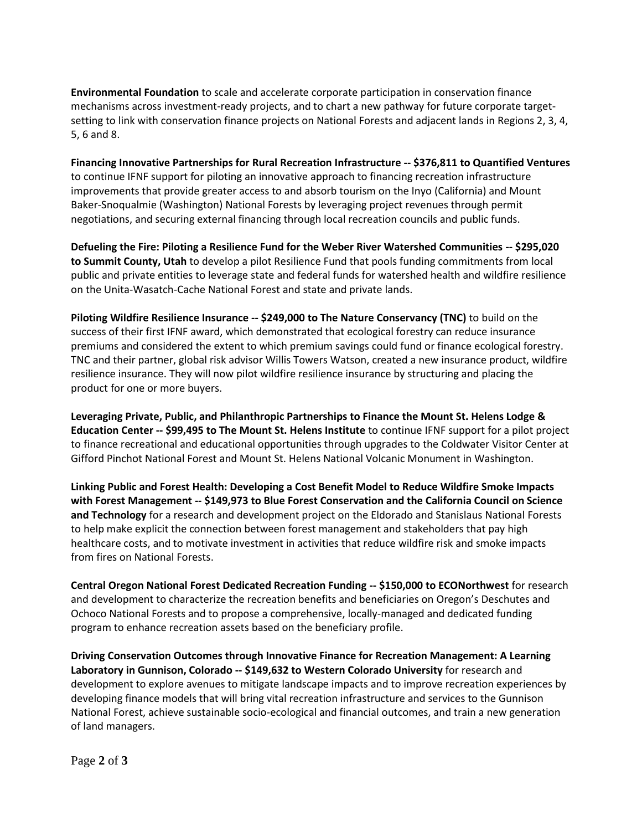**Environmental Foundation** to scale and accelerate corporate participation in conservation finance mechanisms across investment-ready projects, and to chart a new pathway for future corporate targetsetting to link with conservation finance projects on National Forests and adjacent lands in Regions 2, 3, 4, 5, 6 and 8.

**Financing Innovative Partnerships for Rural Recreation Infrastructure -- \$376,811 to Quantified Ventures** to continue IFNF support for piloting an innovative approach to financing recreation infrastructure improvements that provide greater access to and absorb tourism on the Inyo (California) and Mount Baker-Snoqualmie (Washington) National Forests by leveraging project revenues through permit negotiations, and securing external financing through local recreation councils and public funds.

**Defueling the Fire: Piloting a Resilience Fund for the Weber River Watershed Communities -- \$295,020 to Summit County, Utah** to develop a pilot Resilience Fund that pools funding commitments from local public and private entities to leverage state and federal funds for watershed health and wildfire resilience on the Unita-Wasatch-Cache National Forest and state and private lands.

**Piloting Wildfire Resilience Insurance -- \$249,000 to The Nature Conservancy (TNC)** to build on the success of their first IFNF award, which demonstrated that ecological forestry can reduce insurance premiums and considered the extent to which premium savings could fund or finance ecological forestry. TNC and their partner, global risk advisor Willis Towers Watson, created a new insurance product, wildfire resilience insurance. They will now pilot wildfire resilience insurance by structuring and placing the product for one or more buyers.

**Leveraging Private, Public, and Philanthropic Partnerships to Finance the Mount St. Helens Lodge & Education Center -- \$99,495 to The Mount St. Helens Institute** to continue IFNF support for a pilot project to finance recreational and educational opportunities through upgrades to the Coldwater Visitor Center at Gifford Pinchot National Forest and Mount St. Helens National Volcanic Monument in Washington.

**Linking Public and Forest Health: Developing a Cost Benefit Model to Reduce Wildfire Smoke Impacts with Forest Management -- \$149,973 to Blue Forest Conservation and the California Council on Science and Technology** for a research and development project on the Eldorado and Stanislaus National Forests to help make explicit the connection between forest management and stakeholders that pay high healthcare costs, and to motivate investment in activities that reduce wildfire risk and smoke impacts from fires on National Forests.

**Central Oregon National Forest Dedicated Recreation Funding -- \$150,000 to ECONorthwest** for research and development to characterize the recreation benefits and beneficiaries on Oregon's Deschutes and Ochoco National Forests and to propose a comprehensive, locally-managed and dedicated funding program to enhance recreation assets based on the beneficiary profile.

**Driving Conservation Outcomes through Innovative Finance for Recreation Management: A Learning Laboratory in Gunnison, Colorado -- \$149,632 to Western Colorado University** for research and development to explore avenues to mitigate landscape impacts and to improve recreation experiences by developing finance models that will bring vital recreation infrastructure and services to the Gunnison National Forest, achieve sustainable socio-ecological and financial outcomes, and train a new generation of land managers.